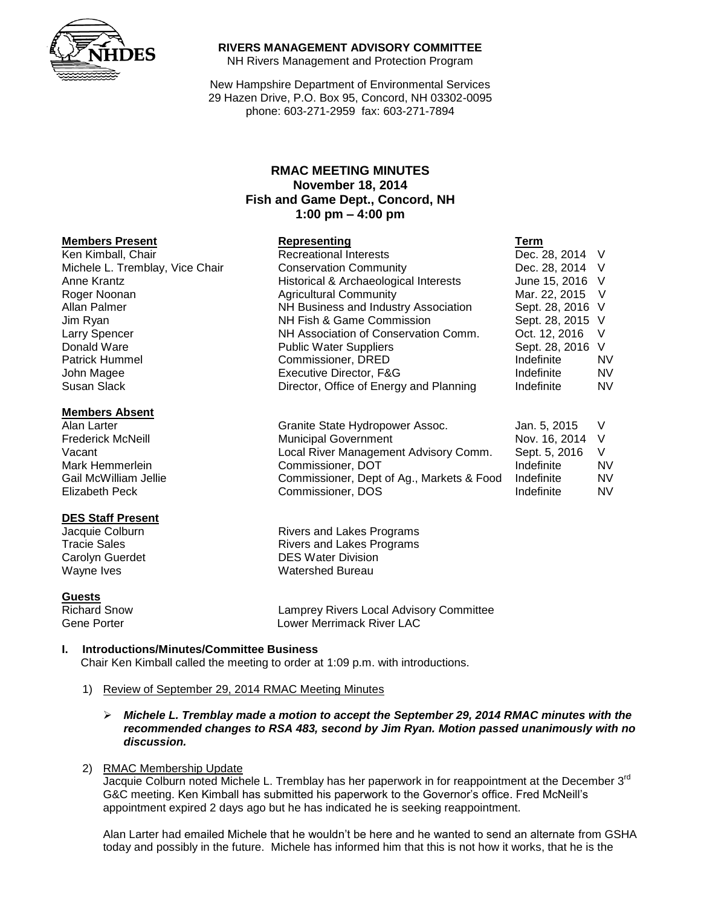

### **RIVERS MANAGEMENT ADVISORY COMMITTEE**

NH Rivers Management and Protection Program

New Hampshire Department of Environmental Services 29 Hazen Drive, P.O. Box 95, Concord, NH 03302-0095 phone: 603-271-2959 fax: 603-271-7894

# **RMAC MEETING MINUTES November 18, 2014 Fish and Game Dept., Concord, NH 1:00 pm – 4:00 pm**

#### **Members Present**

Susan Slack **Director, Office of Energy and Planning** Indefinite NV

#### **Members Absent**

# **DES Staff Present**

**Guests**

Lamprey Rivers Local Advisory Committee Gene Porter **Lower Merrimack River LAC** 

# **I. Introductions/Minutes/Committee Business**

Chair Ken Kimball called the meeting to order at 1:09 p.m. with introductions.

- 1) Review of September 29, 2014 RMAC Meeting Minutes
	- *Michele L. Tremblay made a motion to accept the September 29, 2014 RMAC minutes with the recommended changes to RSA 483, second by Jim Ryan. Motion passed unanimously with no discussion.*

#### 2) RMAC Membership Update

Jacquie Colburn noted Michele L. Tremblay has her paperwork in for reappointment at the December 3<sup>rd</sup> G&C meeting. Ken Kimball has submitted his paperwork to the Governor's office. Fred McNeill's appointment expired 2 days ago but he has indicated he is seeking reappointment.

Alan Larter had emailed Michele that he wouldn't be here and he wanted to send an alternate from GSHA today and possibly in the future. Michele has informed him that this is not how it works, that he is the

| Representing                          | Term             |           |
|---------------------------------------|------------------|-----------|
| <b>Recreational Interests</b>         | Dec. 28, 2014 V  |           |
| <b>Conservation Community</b>         | Dec. 28, 2014 V  |           |
| Historical & Archaeological Interests | June 15, 2016 V  |           |
| <b>Agricultural Community</b>         | Mar. 22, 2015 V  |           |
| NH Business and Industry Association  | Sept. 28, 2016 V |           |
| NH Fish & Game Commission             | Sept. 28, 2015 V |           |
| NH Association of Conservation Comm.  | Oct. 12, 2016    | $\vee$    |
| <b>Public Water Suppliers</b>         | Sept. 28, 2016 V |           |
| Commissioner, DRED                    | Indefinite       | <b>NV</b> |
| Executive Director, F&G               | Indefinite       | <b>NV</b> |
|                                       |                  |           |

| Alan Larter           | Granite State Hydropower Assoc.           | Jan. 5. 2015  |    |
|-----------------------|-------------------------------------------|---------------|----|
| Frederick McNeill     | <b>Municipal Government</b>               | Nov. 16. 2014 |    |
| Vacant                | Local River Management Advisory Comm.     | Sept. 5, 2016 |    |
| Mark Hemmerlein       | Commissioner, DOT                         | Indefinite    | N١ |
| Gail McWilliam Jellie | Commissioner, Dept of Ag., Markets & Food | Indefinite    | N١ |
| Elizabeth Peck        | Commissioner, DOS                         | Indefinite    | N١ |
|                       |                                           |               |    |

Rivers and Lakes Programs Tracie Sales **Rivers** and Lakes Programs Carolyn Guerdet **DES** Water Division Wayne Ives **Wayne Ives** Watershed Bureau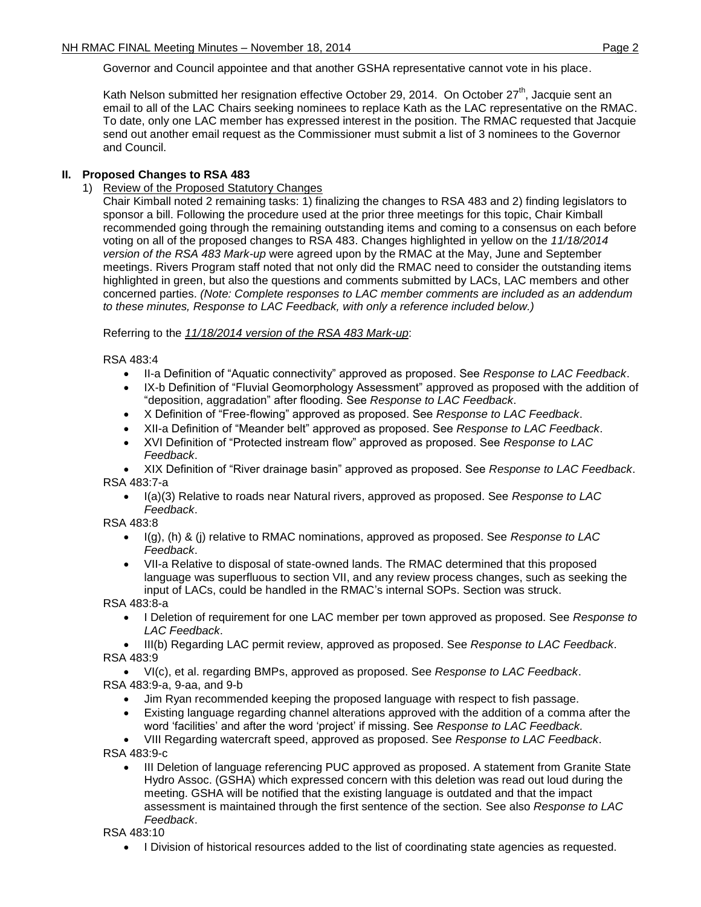Governor and Council appointee and that another GSHA representative cannot vote in his place.

Kath Nelson submitted her resignation effective October 29, 2014. On October 27<sup>th</sup>, Jacquie sent an email to all of the LAC Chairs seeking nominees to replace Kath as the LAC representative on the RMAC. To date, only one LAC member has expressed interest in the position. The RMAC requested that Jacquie send out another email request as the Commissioner must submit a list of 3 nominees to the Governor and Council.

# **II. Proposed Changes to RSA 483**

1) Review of the Proposed Statutory Changes

Chair Kimball noted 2 remaining tasks: 1) finalizing the changes to RSA 483 and 2) finding legislators to sponsor a bill. Following the procedure used at the prior three meetings for this topic, Chair Kimball recommended going through the remaining outstanding items and coming to a consensus on each before voting on all of the proposed changes to RSA 483. Changes highlighted in yellow on the *11/18/2014 version of the RSA 483 Mark-up* were agreed upon by the RMAC at the May, June and September meetings. Rivers Program staff noted that not only did the RMAC need to consider the outstanding items highlighted in green, but also the questions and comments submitted by LACs, LAC members and other concerned parties. *(Note: Complete responses to LAC member comments are included as an addendum to these minutes, Response to LAC Feedback, with only a reference included below.)*

# Referring to the *11/18/2014 version of the RSA 483 Mark-up*:

RSA 483:4

- II-a Definition of "Aquatic connectivity" approved as proposed. See *Response to LAC Feedback*.
- IX-b Definition of "Fluvial Geomorphology Assessment" approved as proposed with the addition of "deposition, aggradation" after flooding. See *Response to LAC Feedback*.
- X Definition of "Free-flowing" approved as proposed. See *Response to LAC Feedback*.
- XII-a Definition of "Meander belt" approved as proposed. See *Response to LAC Feedback*.
- XVI Definition of "Protected instream flow" approved as proposed. See *Response to LAC Feedback*.

 XIX Definition of "River drainage basin" approved as proposed. See *Response to LAC Feedback*. RSA 483:7-a

 I(a)(3) Relative to roads near Natural rivers, approved as proposed. See *Response to LAC Feedback*.

RSA 483:8

- I(g), (h) & (j) relative to RMAC nominations, approved as proposed. See *Response to LAC Feedback*.
- VII-a Relative to disposal of state-owned lands. The RMAC determined that this proposed language was superfluous to section VII, and any review process changes, such as seeking the input of LACs, could be handled in the RMAC's internal SOPs. Section was struck.

RSA 483:8-a

 I Deletion of requirement for one LAC member per town approved as proposed. See *Response to LAC Feedback*.

 III(b) Regarding LAC permit review, approved as proposed. See *Response to LAC Feedback*. RSA 483:9

 VI(c), et al. regarding BMPs, approved as proposed. See *Response to LAC Feedback*. RSA 483:9-a, 9-aa, and 9-b

- Jim Ryan recommended keeping the proposed language with respect to fish passage.
- Existing language regarding channel alterations approved with the addition of a comma after the word 'facilities' and after the word 'project' if missing. See *Response to LAC Feedback.*
- VIII Regarding watercraft speed, approved as proposed. See *Response to LAC Feedback*. RSA 483:9-c
	- III Deletion of language referencing PUC approved as proposed. A statement from Granite State Hydro Assoc. (GSHA) which expressed concern with this deletion was read out loud during the meeting. GSHA will be notified that the existing language is outdated and that the impact assessment is maintained through the first sentence of the section. See also *Response to LAC Feedback*.

RSA 483:10

• I Division of historical resources added to the list of coordinating state agencies as requested.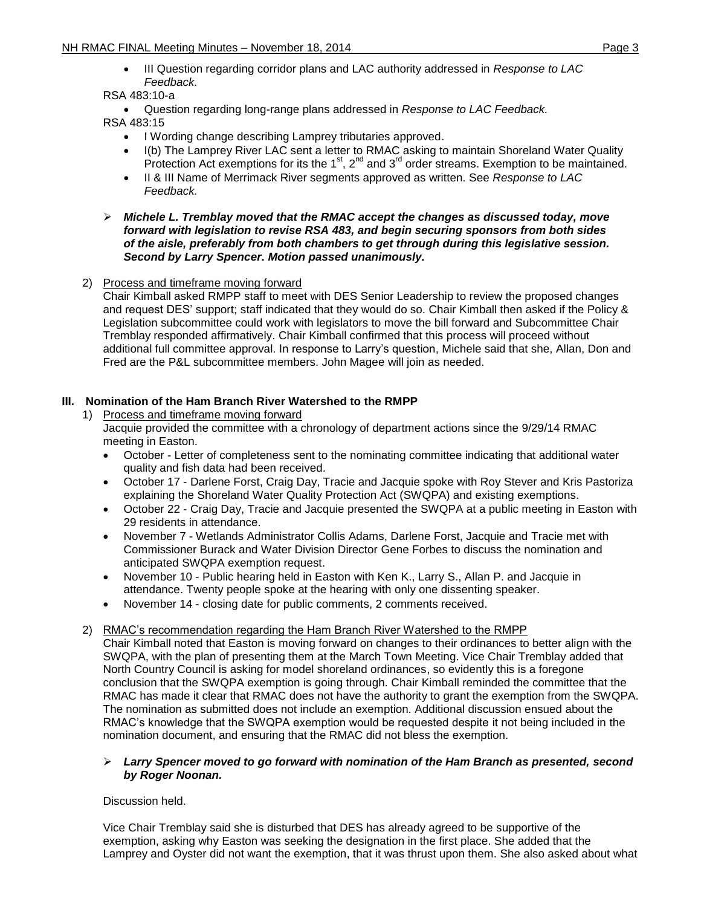III Question regarding corridor plans and LAC authority addressed in *Response to LAC Feedback.*

# RSA 483:10-a

Question regarding long-range plans addressed in *Response to LAC Feedback.*

RSA 483:15

- I Wording change describing Lamprey tributaries approved.
- I(b) The Lamprey River LAC sent a letter to RMAC asking to maintain Shoreland Water Quality Protection Act exemptions for its the 1<sup>st</sup>, 2<sup>nd</sup> and 3<sup>rd</sup> order streams. Exemption to be maintained.
- II & III Name of Merrimack River segments approved as written. See *Response to LAC Feedback.*

### *Michele L. Tremblay moved that the RMAC accept the changes as discussed today, move forward with legislation to revise RSA 483, and begin securing sponsors from both sides of the aisle, preferably from both chambers to get through during this legislative session. Second by Larry Spencer. Motion passed unanimously.*

2) Process and timeframe moving forward

Chair Kimball asked RMPP staff to meet with DES Senior Leadership to review the proposed changes and request DES' support; staff indicated that they would do so. Chair Kimball then asked if the Policy & Legislation subcommittee could work with legislators to move the bill forward and Subcommittee Chair Tremblay responded affirmatively. Chair Kimball confirmed that this process will proceed without additional full committee approval. In response to Larry's question, Michele said that she, Allan, Don and Fred are the P&L subcommittee members. John Magee will join as needed.

# **III. Nomination of the Ham Branch River Watershed to the RMPP**

- 1) Process and timeframe moving forward
	- Jacquie provided the committee with a chronology of department actions since the 9/29/14 RMAC meeting in Easton.
	- October Letter of completeness sent to the nominating committee indicating that additional water quality and fish data had been received.
	- October 17 Darlene Forst, Craig Day, Tracie and Jacquie spoke with Roy Stever and Kris Pastoriza explaining the Shoreland Water Quality Protection Act (SWQPA) and existing exemptions.
	- October 22 Craig Day, Tracie and Jacquie presented the SWQPA at a public meeting in Easton with 29 residents in attendance.
	- November 7 Wetlands Administrator Collis Adams, Darlene Forst, Jacquie and Tracie met with Commissioner Burack and Water Division Director Gene Forbes to discuss the nomination and anticipated SWQPA exemption request.
	- November 10 Public hearing held in Easton with Ken K., Larry S., Allan P. and Jacquie in attendance. Twenty people spoke at the hearing with only one dissenting speaker.
	- November 14 closing date for public comments, 2 comments received.

# 2) RMAC's recommendation regarding the Ham Branch River Watershed to the RMPP

Chair Kimball noted that Easton is moving forward on changes to their ordinances to better align with the SWQPA, with the plan of presenting them at the March Town Meeting. Vice Chair Tremblay added that North Country Council is asking for model shoreland ordinances, so evidently this is a foregone conclusion that the SWQPA exemption is going through. Chair Kimball reminded the committee that the RMAC has made it clear that RMAC does not have the authority to grant the exemption from the SWQPA. The nomination as submitted does not include an exemption. Additional discussion ensued about the RMAC's knowledge that the SWQPA exemption would be requested despite it not being included in the nomination document, and ensuring that the RMAC did not bless the exemption.

### *Larry Spencer moved to go forward with nomination of the Ham Branch as presented, second by Roger Noonan.*

# Discussion held.

Vice Chair Tremblay said she is disturbed that DES has already agreed to be supportive of the exemption, asking why Easton was seeking the designation in the first place. She added that the Lamprey and Oyster did not want the exemption, that it was thrust upon them. She also asked about what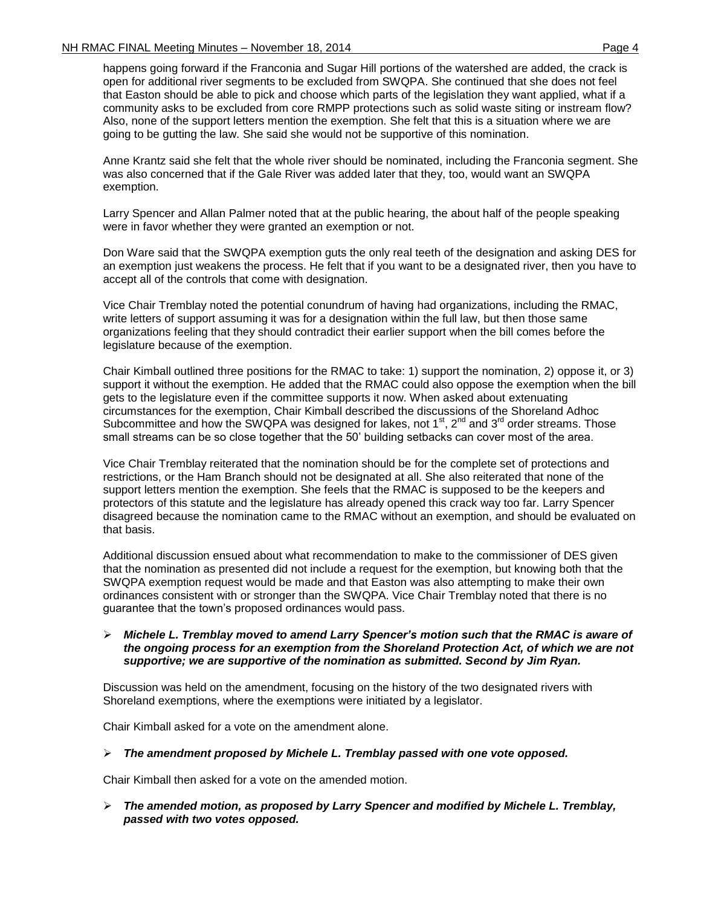happens going forward if the Franconia and Sugar Hill portions of the watershed are added, the crack is open for additional river segments to be excluded from SWQPA. She continued that she does not feel that Easton should be able to pick and choose which parts of the legislation they want applied, what if a community asks to be excluded from core RMPP protections such as solid waste siting or instream flow? Also, none of the support letters mention the exemption. She felt that this is a situation where we are going to be gutting the law. She said she would not be supportive of this nomination.

Anne Krantz said she felt that the whole river should be nominated, including the Franconia segment. She was also concerned that if the Gale River was added later that they, too, would want an SWQPA exemption.

Larry Spencer and Allan Palmer noted that at the public hearing, the about half of the people speaking were in favor whether they were granted an exemption or not.

Don Ware said that the SWQPA exemption guts the only real teeth of the designation and asking DES for an exemption just weakens the process. He felt that if you want to be a designated river, then you have to accept all of the controls that come with designation.

Vice Chair Tremblay noted the potential conundrum of having had organizations, including the RMAC, write letters of support assuming it was for a designation within the full law, but then those same organizations feeling that they should contradict their earlier support when the bill comes before the legislature because of the exemption.

Chair Kimball outlined three positions for the RMAC to take: 1) support the nomination, 2) oppose it, or 3) support it without the exemption. He added that the RMAC could also oppose the exemption when the bill gets to the legislature even if the committee supports it now. When asked about extenuating circumstances for the exemption, Chair Kimball described the discussions of the Shoreland Adhoc Subcommittee and how the SWQPA was designed for lakes, not  $1<sup>st</sup>$ ,  $2<sup>nd</sup>$  and  $3<sup>rd</sup>$  order streams. Those small streams can be so close together that the 50' building setbacks can cover most of the area.

Vice Chair Tremblay reiterated that the nomination should be for the complete set of protections and restrictions, or the Ham Branch should not be designated at all. She also reiterated that none of the support letters mention the exemption. She feels that the RMAC is supposed to be the keepers and protectors of this statute and the legislature has already opened this crack way too far. Larry Spencer disagreed because the nomination came to the RMAC without an exemption, and should be evaluated on that basis.

Additional discussion ensued about what recommendation to make to the commissioner of DES given that the nomination as presented did not include a request for the exemption, but knowing both that the SWQPA exemption request would be made and that Easton was also attempting to make their own ordinances consistent with or stronger than the SWQPA. Vice Chair Tremblay noted that there is no guarantee that the town's proposed ordinances would pass.

#### *Michele L. Tremblay moved to amend Larry Spencer's motion such that the RMAC is aware of the ongoing process for an exemption from the Shoreland Protection Act, of which we are not supportive; we are supportive of the nomination as submitted. Second by Jim Ryan.*

Discussion was held on the amendment, focusing on the history of the two designated rivers with Shoreland exemptions, where the exemptions were initiated by a legislator.

Chair Kimball asked for a vote on the amendment alone.

# *The amendment proposed by Michele L. Tremblay passed with one vote opposed.*

Chair Kimball then asked for a vote on the amended motion.

 *The amended motion, as proposed by Larry Spencer and modified by Michele L. Tremblay, passed with two votes opposed.*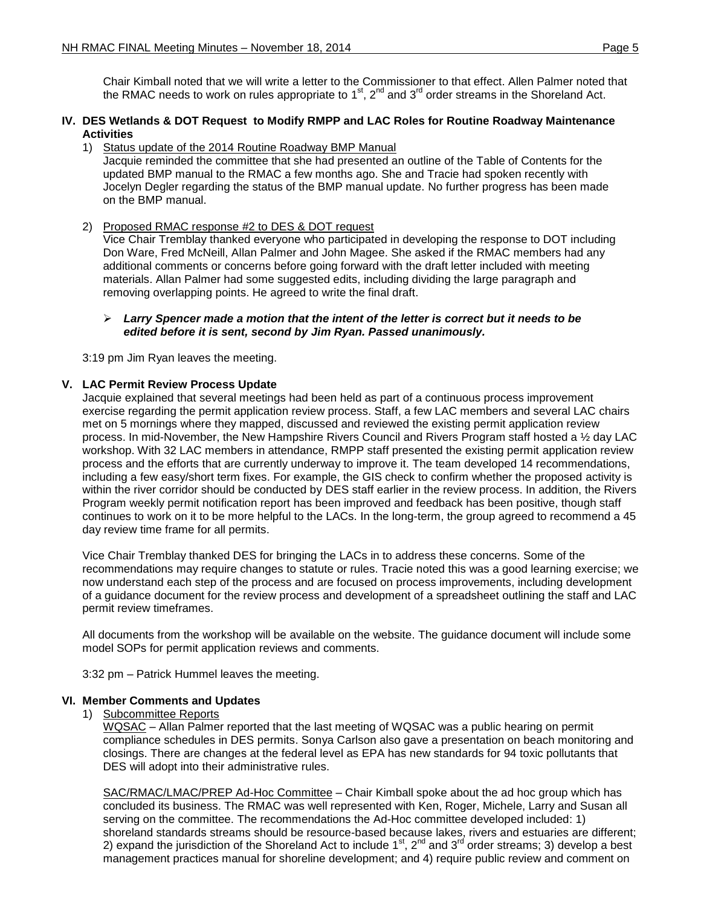Chair Kimball noted that we will write a letter to the Commissioner to that effect. Allen Palmer noted that the RMAC needs to work on rules appropriate to 1<sup>st</sup>, 2<sup>nd</sup> and 3<sup>rd</sup> order streams in the Shoreland Act.

#### **IV. DES Wetlands & DOT Request to Modify RMPP and LAC Roles for Routine Roadway Maintenance Activities**

#### 1) Status update of the 2014 Routine Roadway BMP Manual

Jacquie reminded the committee that she had presented an outline of the Table of Contents for the updated BMP manual to the RMAC a few months ago. She and Tracie had spoken recently with Jocelyn Degler regarding the status of the BMP manual update. No further progress has been made on the BMP manual.

### 2) Proposed RMAC response #2 to DES & DOT request

Vice Chair Tremblay thanked everyone who participated in developing the response to DOT including Don Ware, Fred McNeill, Allan Palmer and John Magee. She asked if the RMAC members had any additional comments or concerns before going forward with the draft letter included with meeting materials. Allan Palmer had some suggested edits, including dividing the large paragraph and removing overlapping points. He agreed to write the final draft.

#### *Larry Spencer made a motion that the intent of the letter is correct but it needs to be edited before it is sent, second by Jim Ryan. Passed unanimously.*

3:19 pm Jim Ryan leaves the meeting.

### **V. LAC Permit Review Process Update**

Jacquie explained that several meetings had been held as part of a continuous process improvement exercise regarding the permit application review process. Staff, a few LAC members and several LAC chairs met on 5 mornings where they mapped, discussed and reviewed the existing permit application review process. In mid-November, the New Hampshire Rivers Council and Rivers Program staff hosted a ½ day LAC workshop. With 32 LAC members in attendance, RMPP staff presented the existing permit application review process and the efforts that are currently underway to improve it. The team developed 14 recommendations, including a few easy/short term fixes. For example, the GIS check to confirm whether the proposed activity is within the river corridor should be conducted by DES staff earlier in the review process. In addition, the Rivers Program weekly permit notification report has been improved and feedback has been positive, though staff continues to work on it to be more helpful to the LACs. In the long-term, the group agreed to recommend a 45 day review time frame for all permits.

Vice Chair Tremblay thanked DES for bringing the LACs in to address these concerns. Some of the recommendations may require changes to statute or rules. Tracie noted this was a good learning exercise; we now understand each step of the process and are focused on process improvements, including development of a guidance document for the review process and development of a spreadsheet outlining the staff and LAC permit review timeframes.

All documents from the workshop will be available on the website. The guidance document will include some model SOPs for permit application reviews and comments.

3:32 pm – Patrick Hummel leaves the meeting.

#### **VI. Member Comments and Updates**

#### 1) Subcommittee Reports

WQSAC – Allan Palmer reported that the last meeting of WQSAC was a public hearing on permit compliance schedules in DES permits. Sonya Carlson also gave a presentation on beach monitoring and closings. There are changes at the federal level as EPA has new standards for 94 toxic pollutants that DES will adopt into their administrative rules.

SAC/RMAC/LMAC/PREP Ad-Hoc Committee - Chair Kimball spoke about the ad hoc group which has concluded its business. The RMAC was well represented with Ken, Roger, Michele, Larry and Susan all serving on the committee. The recommendations the Ad-Hoc committee developed included: 1) shoreland standards streams should be resource-based because lakes, rivers and estuaries are different; 2) expand the jurisdiction of the Shoreland Act to include  $1^{st}$ ,  $2^{nd}$  and  $3^{rd}$  order streams; 3) develop a best management practices manual for shoreline development; and 4) require public review and comment on